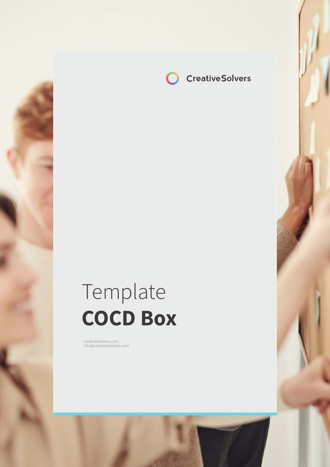

# Template **COCD Box**

creatives of the interest of the interest of the interest of the interest of the interest of the interest of the interest of the interest of the interest of the interest of the interest of the interest of the interest of t

creativesolvers.com info@creativesolvers.com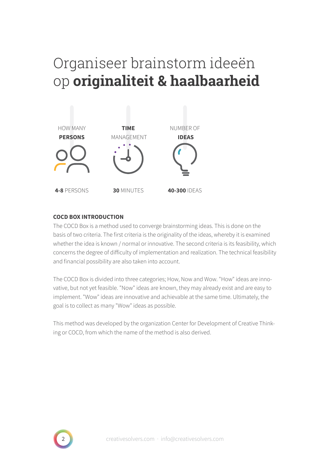## Organiseer brainstorm ideeën op **originaliteit & haalbaarheid**



### **COCD BOX INTRODUCTION**

The COCD Box is a method used to converge brainstorming ideas. This is done on the basis of two criteria. The first criteria is the originality of the ideas, whereby it is examined whether the idea is known / normal or innovative. The second criteria is its feasibility, which concerns the degree of difficulty of implementation and realization. The technical feasibility and financial possibility are also taken into account.

The COCD Box is divided into three categories; How, Now and Wow. "How" ideas are innovative, but not yet feasible. "Now" ideas are known, they may already exist and are easy to implement. "Wow" ideas are innovative and achievable at the same time. Ultimately, the goal is to collect as many "Wow" ideas as possible.

This method was developed by the organization Center for Development of Creative Thinking or COCD, from which the name of the method is also derived.

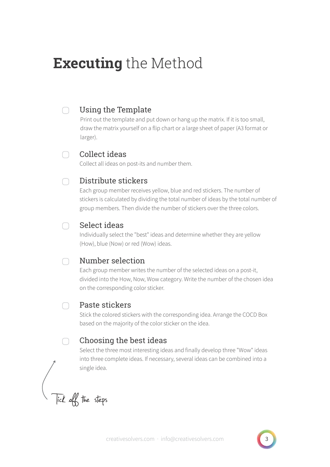## **Executing** the Method

#### Using the Template ∩

Print out the template and put down or hang up the matrix. If it is too small, draw the matrix yourself on a flip chart or a large sheet of paper (A3 format or larger).

#### Collect ideas  $\bigcap$

Collect all ideas on post-its and number them.

#### Distribute stickers ∩

Each group member receives yellow, blue and red stickers. The number of stickers is calculated by dividing the total number of ideas by the total number of group members. Then divide the number of stickers over the three colors.

#### Select ideas ∩

Individually select the "best" ideas and determine whether they are yellow (How), blue (Now) or red (Wow) ideas.

#### Number selection ∩

Each group member writes the number of the selected ideas on a post-it, divided into the How, Now, Wow category. Write the number of the chosen idea on the corresponding color sticker.

### Paste stickers

Stick the colored stickers with the corresponding idea. Arrange the COCD Box based on the majority of the color sticker on the idea.

#### Choosing the best ideas ∩

Select the three most interesting ideas and finally develop three "Wow" ideas into three complete ideas. If necessary, several ideas can be combined into a single idea.

Tick off the steps